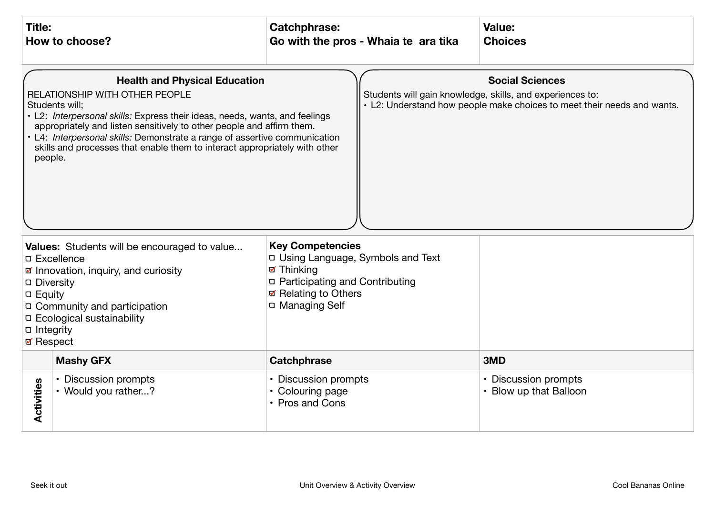| <b>Title:</b><br>How to choose?                                                                                                                                                                                                                                                                                                                                                                                                                                                                                                                                                           |                                             | <b>Catchphrase:</b>                                                                                                                                                      | Go with the pros - Whaia te ara tika | Value:<br><b>Choices</b>                       |
|-------------------------------------------------------------------------------------------------------------------------------------------------------------------------------------------------------------------------------------------------------------------------------------------------------------------------------------------------------------------------------------------------------------------------------------------------------------------------------------------------------------------------------------------------------------------------------------------|---------------------------------------------|--------------------------------------------------------------------------------------------------------------------------------------------------------------------------|--------------------------------------|------------------------------------------------|
| <b>Health and Physical Education</b><br><b>Social Sciences</b><br>RELATIONSHIP WITH OTHER PEOPLE<br>Students will gain knowledge, skills, and experiences to:<br>• L2: Understand how people make choices to meet their needs and wants.<br>Students will:<br>• L2: Interpersonal skills: Express their ideas, needs, wants, and feelings<br>appropriately and listen sensitively to other people and affirm them.<br>• L4: Interpersonal skills: Demonstrate a range of assertive communication<br>skills and processes that enable them to interact appropriately with other<br>people. |                                             |                                                                                                                                                                          |                                      |                                                |
| Values: Students will be encouraged to value<br><b>D</b> Excellence<br>☑ Innovation, inquiry, and curiosity<br>□ Diversity<br><b>D</b> Equity<br>□ Community and participation<br>□ Ecological sustainability<br>□ Integrity<br><b>Ø</b> Respect                                                                                                                                                                                                                                                                                                                                          |                                             | <b>Key Competencies</b><br>D Using Language, Symbols and Text<br><b>Ø</b> Thinking<br>□ Participating and Contributing<br><b>Ø Relating to Others</b><br>□ Managing Self |                                      |                                                |
|                                                                                                                                                                                                                                                                                                                                                                                                                                                                                                                                                                                           | <b>Mashy GFX</b>                            | <b>Catchphrase</b>                                                                                                                                                       |                                      | 3MD                                            |
| Activities                                                                                                                                                                                                                                                                                                                                                                                                                                                                                                                                                                                | • Discussion prompts<br>• Would you rather? | • Discussion prompts<br>• Colouring page<br>• Pros and Cons                                                                                                              |                                      | • Discussion prompts<br>• Blow up that Balloon |